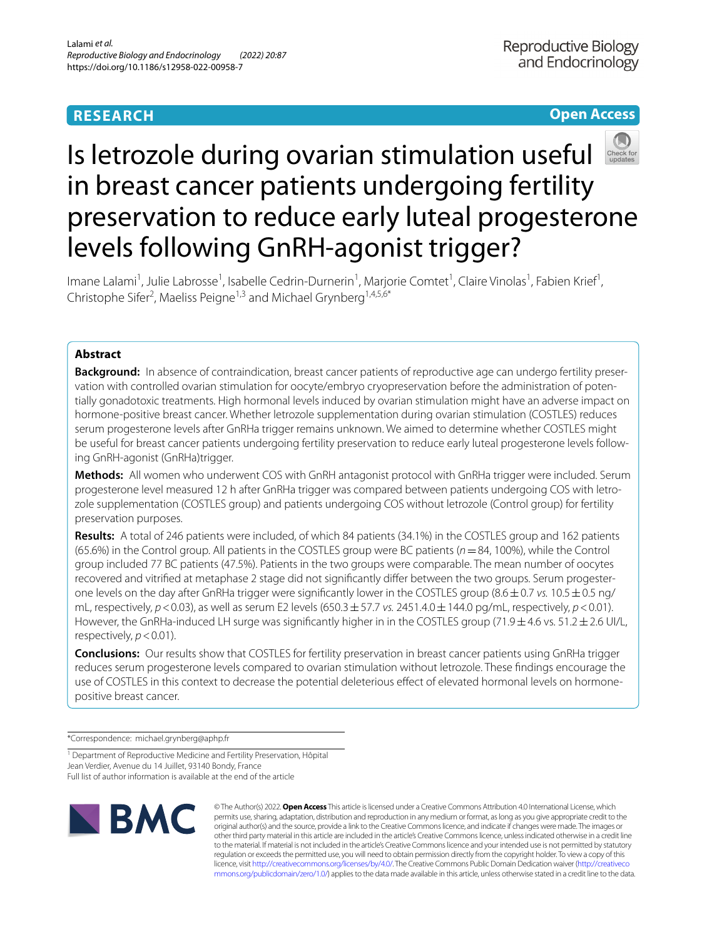# **RESEARCH**

# **Open Access**



# Is letrozole during ovarian stimulation useful in breast cancer patients undergoing fertility preservation to reduce early luteal progesterone levels following GnRH-agonist trigger?

Imane Lalami<sup>1</sup>, Julie Labrosse<sup>1</sup>, Isabelle Cedrin-Durnerin<sup>1</sup>, Marjorie Comtet<sup>1</sup>, Claire Vinolas<sup>1</sup>, Fabien Krief<sup>1</sup>, Christophe Sifer<sup>2</sup>, Maeliss Peigne<sup>1,3</sup> and Michael Grynberg<sup>1,4,5,6\*</sup>

## **Abstract**

**Background:** In absence of contraindication, breast cancer patients of reproductive age can undergo fertility preservation with controlled ovarian stimulation for oocyte/embryo cryopreservation before the administration of potentially gonadotoxic treatments. High hormonal levels induced by ovarian stimulation might have an adverse impact on hormone-positive breast cancer. Whether letrozole supplementation during ovarian stimulation (COSTLES) reduces serum progesterone levels after GnRHa trigger remains unknown. We aimed to determine whether COSTLES might be useful for breast cancer patients undergoing fertility preservation to reduce early luteal progesterone levels following GnRH-agonist (GnRHa)trigger.

**Methods:** All women who underwent COS with GnRH antagonist protocol with GnRHa trigger were included. Serum progesterone level measured 12 h after GnRHa trigger was compared between patients undergoing COS with letrozole supplementation (COSTLES group) and patients undergoing COS without letrozole (Control group) for fertility preservation purposes.

**Results:** A total of 246 patients were included, of which 84 patients (34.1%) in the COSTLES group and 162 patients (65.6%) in the Control group. All patients in the COSTLES group were BC patients (*n*=84, 100%), while the Control group included 77 BC patients (47.5%). Patients in the two groups were comparable. The mean number of oocytes recovered and vitrified at metaphase 2 stage did not significantly differ between the two groups. Serum progesterone levels on the day after GnRHa trigger were significantly lower in the COSTLES group (8.6  $\pm$ 0.7 *vs.* 10.5  $\pm$ 0.5 ng/ mL, respectively*, p*<0.03), as well as serum E2 levels (650.3±57.7 *vs.* 2451.4.0±144.0 pg/mL, respectively, *p*<0.01). However, the GnRHa-induced LH surge was significantly higher in in the COSTLES group (71.9  $\pm$  4.6 vs. 51.2  $\pm$  2.6 UI/L, respectively,  $p < 0.01$ ).

**Conclusions:** Our results show that COSTLES for fertility preservation in breast cancer patients using GnRHa trigger reduces serum progesterone levels compared to ovarian stimulation without letrozole. These fndings encourage the use of COSTLES in this context to decrease the potential deleterious efect of elevated hormonal levels on hormonepositive breast cancer.

\*Correspondence: michael.grynberg@aphp.fr

<sup>1</sup> Department of Reproductive Medicine and Fertility Preservation, Hôpital Jean Verdier, Avenue du 14 Juillet, 93140 Bondy, France Full list of author information is available at the end of the article



© The Author(s) 2022. **Open Access** This article is licensed under a Creative Commons Attribution 4.0 International License, which permits use, sharing, adaptation, distribution and reproduction in any medium or format, as long as you give appropriate credit to the original author(s) and the source, provide a link to the Creative Commons licence, and indicate if changes were made. The images or other third party material in this article are included in the article's Creative Commons licence, unless indicated otherwise in a credit line to the material. If material is not included in the article's Creative Commons licence and your intended use is not permitted by statutory regulation or exceeds the permitted use, you will need to obtain permission directly from the copyright holder. To view a copy of this licence, visit [http://creativecommons.org/licenses/by/4.0/.](http://creativecommons.org/licenses/by/4.0/) The Creative Commons Public Domain Dedication waiver ([http://creativeco](http://creativecommons.org/publicdomain/zero/1.0/) [mmons.org/publicdomain/zero/1.0/](http://creativecommons.org/publicdomain/zero/1.0/)) applies to the data made available in this article, unless otherwise stated in a credit line to the data.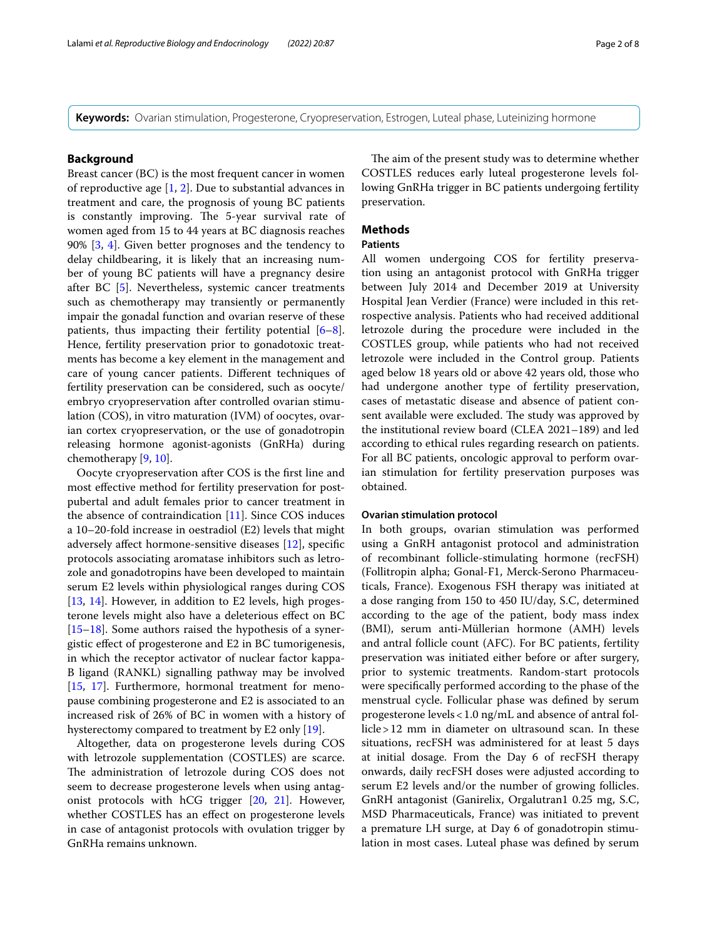**Keywords:** Ovarian stimulation, Progesterone, Cryopreservation, Estrogen, Luteal phase, Luteinizing hormone

## **Background**

Breast cancer (BC) is the most frequent cancer in women of reproductive age [\[1](#page-6-0), [2\]](#page-6-1). Due to substantial advances in treatment and care, the prognosis of young BC patients is constantly improving. The 5-year survival rate of women aged from 15 to 44 years at BC diagnosis reaches 90% [\[3](#page-6-2), [4\]](#page-6-3). Given better prognoses and the tendency to delay childbearing, it is likely that an increasing number of young BC patients will have a pregnancy desire after BC [[5\]](#page-6-4). Nevertheless, systemic cancer treatments such as chemotherapy may transiently or permanently impair the gonadal function and ovarian reserve of these patients, thus impacting their fertility potential [\[6](#page-6-5)[–8](#page-6-6)]. Hence, fertility preservation prior to gonadotoxic treatments has become a key element in the management and care of young cancer patients. Diferent techniques of fertility preservation can be considered, such as oocyte/ embryo cryopreservation after controlled ovarian stimulation (COS), in vitro maturation (IVM) of oocytes, ovarian cortex cryopreservation, or the use of gonadotropin releasing hormone agonist-agonists (GnRHa) during chemotherapy [[9,](#page-6-7) [10](#page-6-8)].

Oocyte cryopreservation after COS is the frst line and most efective method for fertility preservation for postpubertal and adult females prior to cancer treatment in the absence of contraindication [\[11](#page-6-9)]. Since COS induces a 10–20-fold increase in oestradiol (E2) levels that might adversely afect hormone-sensitive diseases [[12](#page-6-10)], specifc protocols associating aromatase inhibitors such as letrozole and gonadotropins have been developed to maintain serum E2 levels within physiological ranges during COS [[13,](#page-7-0) [14](#page-7-1)]. However, in addition to E2 levels, high progesterone levels might also have a deleterious efect on BC [[15–](#page-7-2)[18](#page-7-3)]. Some authors raised the hypothesis of a synergistic efect of progesterone and E2 in BC tumorigenesis, in which the receptor activator of nuclear factor kappa-B ligand (RANKL) signalling pathway may be involved [[15,](#page-7-2) [17\]](#page-7-4). Furthermore, hormonal treatment for menopause combining progesterone and E2 is associated to an increased risk of 26% of BC in women with a history of hysterectomy compared to treatment by E2 only [\[19](#page-7-5)].

Altogether, data on progesterone levels during COS with letrozole supplementation (COSTLES) are scarce. The administration of letrozole during COS does not seem to decrease progesterone levels when using antagonist protocols with hCG trigger [\[20,](#page-7-6) [21\]](#page-7-7). However, whether COSTLES has an effect on progesterone levels in case of antagonist protocols with ovulation trigger by GnRHa remains unknown.

The aim of the present study was to determine whether COSTLES reduces early luteal progesterone levels following GnRHa trigger in BC patients undergoing fertility preservation.

## **Methods**

## **Patients**

All women undergoing COS for fertility preservation using an antagonist protocol with GnRHa trigger between July 2014 and December 2019 at University Hospital Jean Verdier (France) were included in this retrospective analysis. Patients who had received additional letrozole during the procedure were included in the COSTLES group, while patients who had not received letrozole were included in the Control group. Patients aged below 18 years old or above 42 years old, those who had undergone another type of fertility preservation, cases of metastatic disease and absence of patient consent available were excluded. The study was approved by the institutional review board (CLEA 2021–189) and led according to ethical rules regarding research on patients. For all BC patients, oncologic approval to perform ovarian stimulation for fertility preservation purposes was obtained.

## **Ovarian stimulation protocol**

In both groups, ovarian stimulation was performed using a GnRH antagonist protocol and administration of recombinant follicle-stimulating hormone (recFSH) (Follitropin alpha; Gonal-F1, Merck-Serono Pharmaceuticals, France). Exogenous FSH therapy was initiated at a dose ranging from 150 to 450 IU/day, S.C, determined according to the age of the patient, body mass index (BMI), serum anti-Müllerian hormone (AMH) levels and antral follicle count (AFC). For BC patients, fertility preservation was initiated either before or after surgery, prior to systemic treatments. Random-start protocols were specifcally performed according to the phase of the menstrual cycle. Follicular phase was defned by serum progesterone levels<1.0 ng/mL and absence of antral follicle>12 mm in diameter on ultrasound scan. In these situations, recFSH was administered for at least 5 days at initial dosage. From the Day 6 of recFSH therapy onwards, daily recFSH doses were adjusted according to serum E2 levels and/or the number of growing follicles. GnRH antagonist (Ganirelix, Orgalutran1 0.25 mg, S.C, MSD Pharmaceuticals, France) was initiated to prevent a premature LH surge, at Day 6 of gonadotropin stimulation in most cases. Luteal phase was defned by serum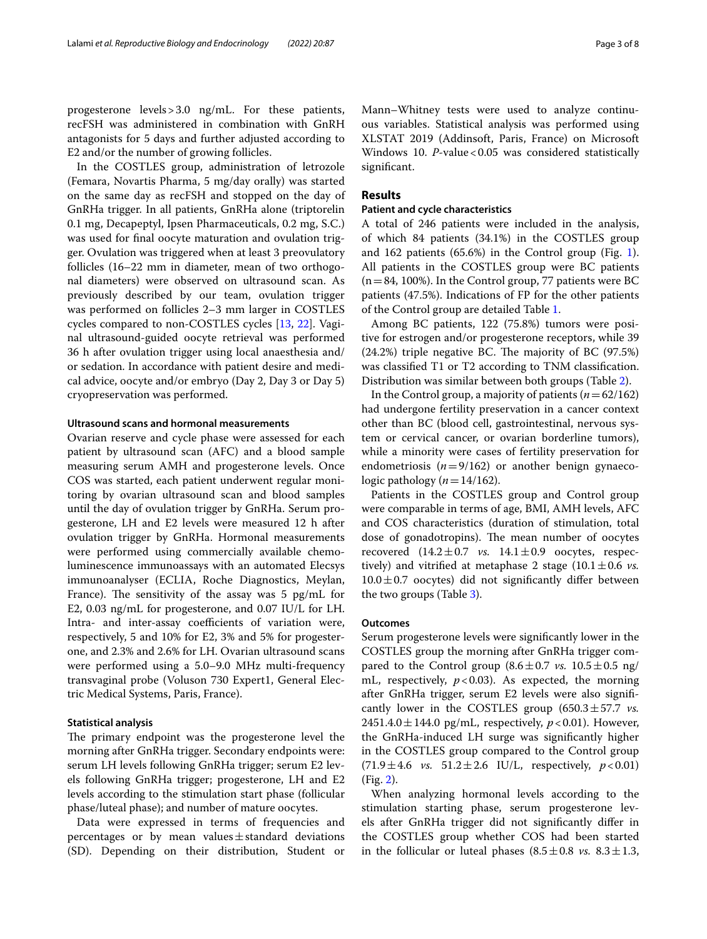progesterone levels>3.0 ng/mL. For these patients, recFSH was administered in combination with GnRH antagonists for 5 days and further adjusted according to E2 and/or the number of growing follicles.

In the COSTLES group, administration of letrozole (Femara, Novartis Pharma, 5 mg/day orally) was started on the same day as recFSH and stopped on the day of GnRHa trigger. In all patients, GnRHa alone (triptorelin 0.1 mg, Decapeptyl, Ipsen Pharmaceuticals, 0.2 mg, S.C.) was used for fnal oocyte maturation and ovulation trigger. Ovulation was triggered when at least 3 preovulatory follicles (16–22 mm in diameter, mean of two orthogonal diameters) were observed on ultrasound scan. As previously described by our team, ovulation trigger was performed on follicles 2–3 mm larger in COSTLES cycles compared to non-COSTLES cycles [\[13](#page-7-0), [22](#page-7-8)]. Vaginal ultrasound-guided oocyte retrieval was performed 36 h after ovulation trigger using local anaesthesia and/ or sedation. In accordance with patient desire and medical advice, oocyte and/or embryo (Day 2, Day 3 or Day 5) cryopreservation was performed.

## **Ultrasound scans and hormonal measurements**

Ovarian reserve and cycle phase were assessed for each patient by ultrasound scan (AFC) and a blood sample measuring serum AMH and progesterone levels. Once COS was started, each patient underwent regular monitoring by ovarian ultrasound scan and blood samples until the day of ovulation trigger by GnRHa. Serum progesterone, LH and E2 levels were measured 12 h after ovulation trigger by GnRHa. Hormonal measurements were performed using commercially available chemoluminescence immunoassays with an automated Elecsys immunoanalyser (ECLIA, Roche Diagnostics, Meylan, France). The sensitivity of the assay was  $5$  pg/mL for E2, 0.03 ng/mL for progesterone, and 0.07 IU/L for LH. Intra- and inter-assay coefficients of variation were, respectively, 5 and 10% for E2, 3% and 5% for progesterone, and 2.3% and 2.6% for LH. Ovarian ultrasound scans were performed using a 5.0–9.0 MHz multi-frequency transvaginal probe (Voluson 730 Expert1, General Electric Medical Systems, Paris, France).

## **Statistical analysis**

The primary endpoint was the progesterone level the morning after GnRHa trigger. Secondary endpoints were: serum LH levels following GnRHa trigger; serum E2 levels following GnRHa trigger; progesterone, LH and E2 levels according to the stimulation start phase (follicular phase/luteal phase); and number of mature oocytes.

Data were expressed in terms of frequencies and percentages or by mean values $\pm$ standard deviations (SD). Depending on their distribution, Student or Mann–Whitney tests were used to analyze continuous variables. Statistical analysis was performed using XLSTAT 2019 (Addinsoft, Paris, France) on Microsoft Windows 10. *P*-value < 0.05 was considered statistically signifcant.

## **Results**

## **Patient and cycle characteristics**

A total of 246 patients were included in the analysis, of which 84 patients (34.1%) in the COSTLES group and 162 patients (65.6%) in the Control group (Fig. [1](#page-3-0)). All patients in the COSTLES group were BC patients  $(n=84, 100\%)$ . In the Control group, 77 patients were BC patients (47.5%). Indications of FP for the other patients of the Control group are detailed Table [1](#page-3-1).

Among BC patients, 122 (75.8%) tumors were positive for estrogen and/or progesterone receptors, while 39  $(24.2%)$  triple negative BC. The majority of BC  $(97.5%)$ was classifed T1 or T2 according to TNM classifcation. Distribution was similar between both groups (Table [2\)](#page-3-2).

In the Control group, a majority of patients (*n*=62/162) had undergone fertility preservation in a cancer context other than BC (blood cell, gastrointestinal, nervous system or cervical cancer, or ovarian borderline tumors), while a minority were cases of fertility preservation for endometriosis  $(n=9/162)$  or another benign gynaecologic pathology  $(n=14/162)$ .

Patients in the COSTLES group and Control group were comparable in terms of age, BMI, AMH levels, AFC and COS characteristics (duration of stimulation, total dose of gonadotropins). The mean number of oocytes recovered  $(14.2 \pm 0.7 \text{ vs. } 14.1 \pm 0.9 \text{ oocytes, respectively.}$ tively) and vitrified at metaphase 2 stage  $(10.1 \pm 0.6 \text{ vs.})$  $10.0 \pm 0.7$  oocytes) did not significantly differ between the two groups (Table [3\)](#page-3-3).

## **Outcomes**

Serum progesterone levels were signifcantly lower in the COSTLES group the morning after GnRHa trigger compared to the Control group  $(8.6 \pm 0.7 \text{ vs. } 10.5 \pm 0.5 \text{ ng}/$ mL, respectively,  $p < 0.03$ ). As expected, the morning after GnRHa trigger, serum E2 levels were also signifcantly lower in the COSTLES group  $(650.3 \pm 57.7 \text{ vs.}$ 2451.4.0 ± 144.0 pg/mL, respectively,  $p < 0.01$ ). However, the GnRHa-induced LH surge was signifcantly higher in the COSTLES group compared to the Control group  $(71.9 \pm 4.6 \text{ vs. } 51.2 \pm 2.6 \text{ IU/L}, \text{ respectively, } p < 0.01)$ (Fig. [2\)](#page-4-0).

When analyzing hormonal levels according to the stimulation starting phase, serum progesterone levels after GnRHa trigger did not signifcantly difer in the COSTLES group whether COS had been started in the follicular or luteal phases  $(8.5 \pm 0.8 \text{ vs. } 8.3 \pm 1.3,$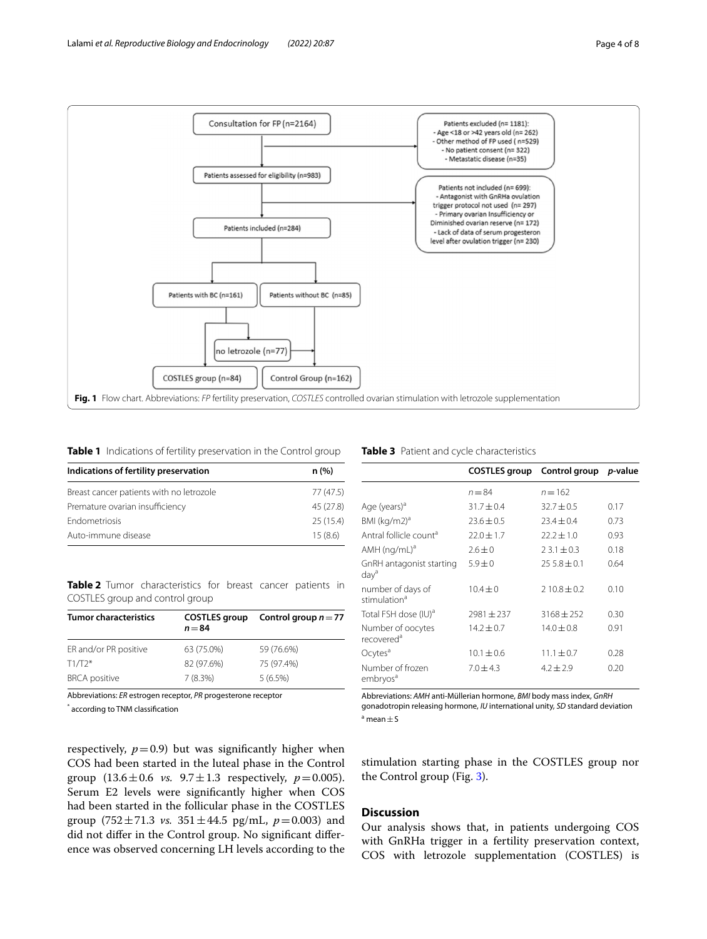

## <span id="page-3-1"></span><span id="page-3-0"></span>**Table 1** Indications of fertility preservation in the Control group

| Indications of fertility preservation    | n (%)     |  |
|------------------------------------------|-----------|--|
| Breast cancer patients with no letrozole | 77 (47.5) |  |
| Premature ovarian insufficiency          | 45 (27.8) |  |
| Endometriosis                            | 25(15.4)  |  |
| Auto-immune disease                      | 15(8.6)   |  |

<span id="page-3-2"></span>**Table 2** Tumor characteristics for breast cancer patients in COSTLES group and control group

| <b>Tumor characteristics</b> | <b>COSTLES</b> group<br>$n = 84$ | Control group $n = 77$ |
|------------------------------|----------------------------------|------------------------|
| ER and/or PR positive        | 63 (75.0%)                       | 59 (76.6%)             |
| $T1/T2*$                     | 82 (97.6%)                       | 75 (97.4%)             |
| <b>BRCA</b> positive         | 7(8.3%)                          | 5(6.5%)                |

Abbreviations: *ER* estrogen receptor, *PR* progesterone receptor

\* according to TNM classifcation

## <span id="page-3-3"></span>**Table 3** Patient and cycle characteristics

|                                               | COSTLES group Control group |                 | <i>p</i> -value |
|-----------------------------------------------|-----------------------------|-----------------|-----------------|
|                                               | $n = 84$                    | $n = 162$       |                 |
| Age (years) <sup>a</sup>                      | $31.7 \pm 0.4$              | $32.7 + 0.5$    | 0.17            |
| BMI (kg/m2) <sup>a</sup>                      | $23.6 \pm 0.5$              | $23.4 \pm 0.4$  | 0.73            |
| Antral follicle count <sup>a</sup>            | $22.0 \pm 1.7$              | $22.2 \pm 1.0$  | 0.93            |
| $AMH$ (ng/mL) <sup>a</sup>                    | $2.6 \pm 0$                 | $23.1 \pm 0.3$  | 0.18            |
| GnRH antagonist starting<br>day <sup>a</sup>  | $5.9 \pm 0$                 | $255.8 \pm 0.1$ | 0.64            |
| number of days of<br>stimulation <sup>a</sup> | $10.4 + 0$                  | $210.8 + 0.2$   | 0.10            |
| Total FSH dose (IU) <sup>a</sup>              | $2981 \pm 237$              | $3168 \pm 252$  | 0.30            |
| Number of oocytes<br>recovered <sup>a</sup>   | $14.2 \pm 0.7$              | $14.0 \pm 0.8$  | 0.91            |
| Ocytes <sup>a</sup>                           | $10.1 \pm 0.6$              | $11.1 \pm 0.7$  | 0.28            |
| Number of frozen<br>embryos <sup>a</sup>      | $7.0 \pm 4.3$               | $4.2 \pm 2.9$   | 0.20            |

Abbreviations: *AMH* anti-Müllerian hormone, *BMI* body mass index, *GnRH* gonadotropin releasing hormone, *IU* international unity, *SD* standard deviation  $a$  mean  $\pm$  S

respectively,  $p=0.9$ ) but was significantly higher when COS had been started in the luteal phase in the Control group  $(13.6 \pm 0.6 \text{ vs. } 9.7 \pm 1.3 \text{ respectively, } p = 0.005)$ . Serum E2 levels were signifcantly higher when COS had been started in the follicular phase in the COSTLES group (752 $\pm$ 71.3 *vs.* 351 $\pm$ 44.5 pg/mL,  $p$ =0.003) and did not difer in the Control group. No signifcant diference was observed concerning LH levels according to the

stimulation starting phase in the COSTLES group nor the Control group (Fig. [3](#page-4-1)).

## **Discussion**

Our analysis shows that, in patients undergoing COS with GnRHa trigger in a fertility preservation context, COS with letrozole supplementation (COSTLES) is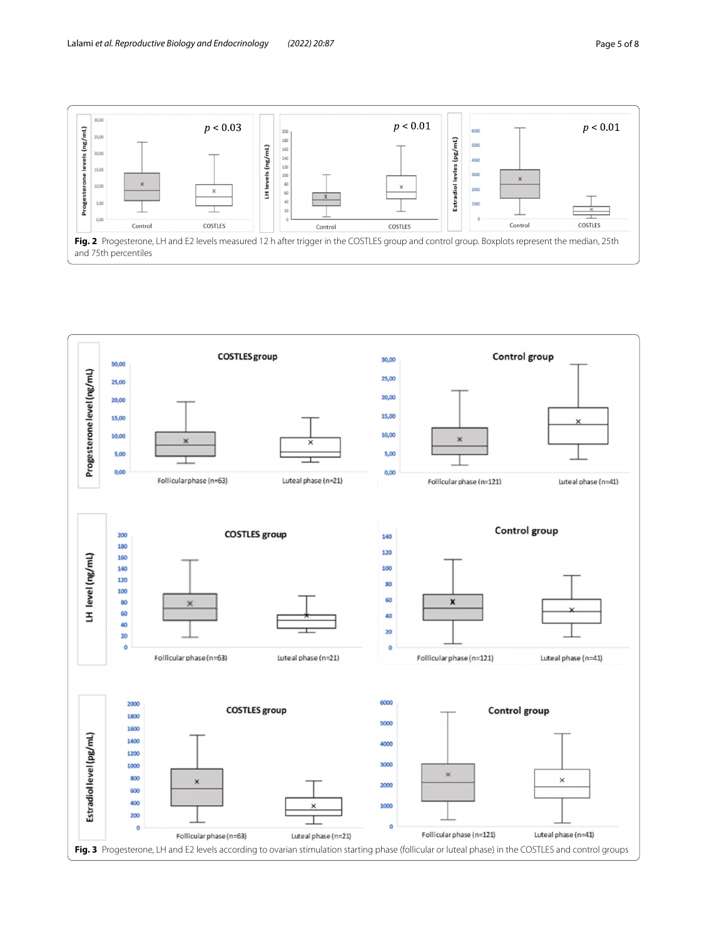

<span id="page-4-1"></span><span id="page-4-0"></span>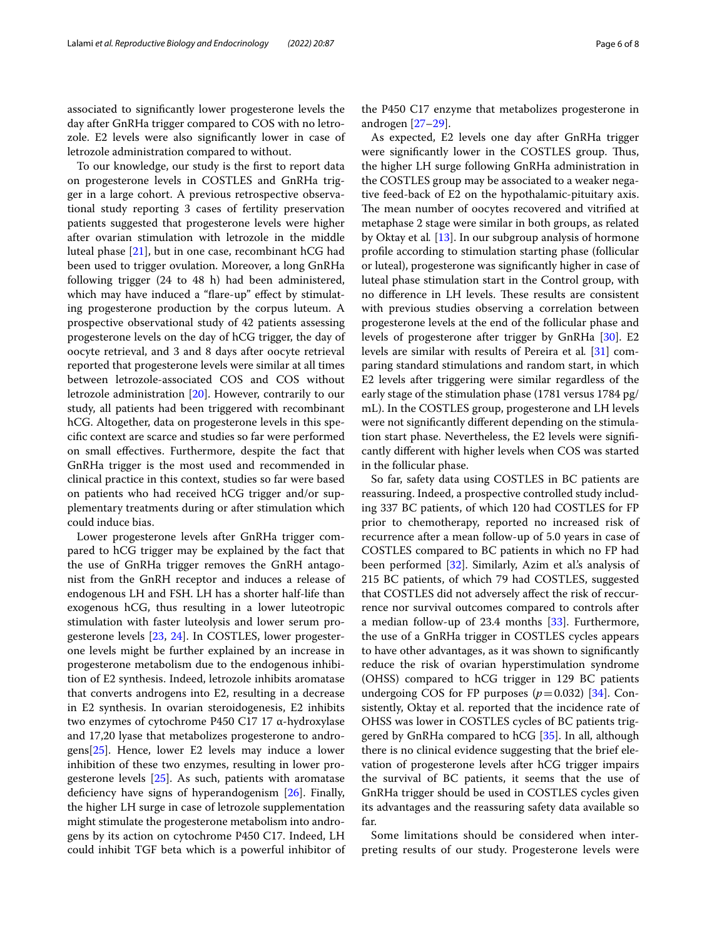associated to signifcantly lower progesterone levels the day after GnRHa trigger compared to COS with no letrozole. E2 levels were also signifcantly lower in case of letrozole administration compared to without.

To our knowledge, our study is the frst to report data on progesterone levels in COSTLES and GnRHa trigger in a large cohort. A previous retrospective observational study reporting 3 cases of fertility preservation patients suggested that progesterone levels were higher after ovarian stimulation with letrozole in the middle luteal phase [[21\]](#page-7-7), but in one case, recombinant hCG had been used to trigger ovulation. Moreover, a long GnRHa following trigger (24 to 48 h) had been administered, which may have induced a "flare-up" effect by stimulating progesterone production by the corpus luteum. A prospective observational study of 42 patients assessing progesterone levels on the day of hCG trigger, the day of oocyte retrieval, and 3 and 8 days after oocyte retrieval reported that progesterone levels were similar at all times between letrozole-associated COS and COS without letrozole administration [\[20\]](#page-7-6). However, contrarily to our study, all patients had been triggered with recombinant hCG. Altogether, data on progesterone levels in this specifc context are scarce and studies so far were performed on small efectives. Furthermore, despite the fact that GnRHa trigger is the most used and recommended in clinical practice in this context, studies so far were based on patients who had received hCG trigger and/or supplementary treatments during or after stimulation which could induce bias.

Lower progesterone levels after GnRHa trigger compared to hCG trigger may be explained by the fact that the use of GnRHa trigger removes the GnRH antagonist from the GnRH receptor and induces a release of endogenous LH and FSH. LH has a shorter half-life than exogenous hCG, thus resulting in a lower luteotropic stimulation with faster luteolysis and lower serum progesterone levels [\[23](#page-7-9), [24\]](#page-7-10). In COSTLES, lower progesterone levels might be further explained by an increase in progesterone metabolism due to the endogenous inhibition of E2 synthesis. Indeed, letrozole inhibits aromatase that converts androgens into E2, resulting in a decrease in E2 synthesis. In ovarian steroidogenesis, E2 inhibits two enzymes of cytochrome P450 C17 17 α-hydroxylase and 17,20 lyase that metabolizes progesterone to androgens[\[25](#page-7-11)]. Hence, lower E2 levels may induce a lower inhibition of these two enzymes, resulting in lower progesterone levels  $[25]$  $[25]$ . As such, patients with aromatase deficiency have signs of hyperandogenism [\[26](#page-7-12)]. Finally, the higher LH surge in case of letrozole supplementation might stimulate the progesterone metabolism into androgens by its action on cytochrome P450 C17. Indeed, LH could inhibit TGF beta which is a powerful inhibitor of the P450 C17 enzyme that metabolizes progesterone in androgen [[27–](#page-7-13)[29\]](#page-7-14).

As expected, E2 levels one day after GnRHa trigger were significantly lower in the COSTLES group. Thus, the higher LH surge following GnRHa administration in the COSTLES group may be associated to a weaker negative feed-back of E2 on the hypothalamic-pituitary axis. The mean number of oocytes recovered and vitrified at metaphase 2 stage were similar in both groups, as related by Oktay et al*.* [\[13](#page-7-0)]. In our subgroup analysis of hormone profle according to stimulation starting phase (follicular or luteal), progesterone was signifcantly higher in case of luteal phase stimulation start in the Control group, with no difference in LH levels. These results are consistent with previous studies observing a correlation between progesterone levels at the end of the follicular phase and levels of progesterone after trigger by GnRHa [[30](#page-7-15)]. E2 levels are similar with results of Pereira et al*.* [[31\]](#page-7-16) comparing standard stimulations and random start, in which E2 levels after triggering were similar regardless of the early stage of the stimulation phase (1781 versus 1784 pg/ mL). In the COSTLES group, progesterone and LH levels were not signifcantly diferent depending on the stimulation start phase. Nevertheless, the E2 levels were signifcantly diferent with higher levels when COS was started in the follicular phase.

So far, safety data using COSTLES in BC patients are reassuring. Indeed, a prospective controlled study including 337 BC patients, of which 120 had COSTLES for FP prior to chemotherapy, reported no increased risk of recurrence after a mean follow-up of 5.0 years in case of COSTLES compared to BC patients in which no FP had been performed [\[32\]](#page-7-17). Similarly, Azim et al's analysis of 215 BC patients, of which 79 had COSTLES, suggested that COSTLES did not adversely afect the risk of reccurrence nor survival outcomes compared to controls after a median follow-up of 23.4 months [\[33](#page-7-18)]. Furthermore, the use of a GnRHa trigger in COSTLES cycles appears to have other advantages, as it was shown to signifcantly reduce the risk of ovarian hyperstimulation syndrome (OHSS) compared to hCG trigger in 129 BC patients undergoing COS for FP purposes  $(p=0.032)$  [[34\]](#page-7-19). Consistently, Oktay et al. reported that the incidence rate of OHSS was lower in COSTLES cycles of BC patients triggered by GnRHa compared to hCG [[35\]](#page-7-20). In all, although there is no clinical evidence suggesting that the brief elevation of progesterone levels after hCG trigger impairs the survival of BC patients, it seems that the use of GnRHa trigger should be used in COSTLES cycles given its advantages and the reassuring safety data available so far.

Some limitations should be considered when interpreting results of our study. Progesterone levels were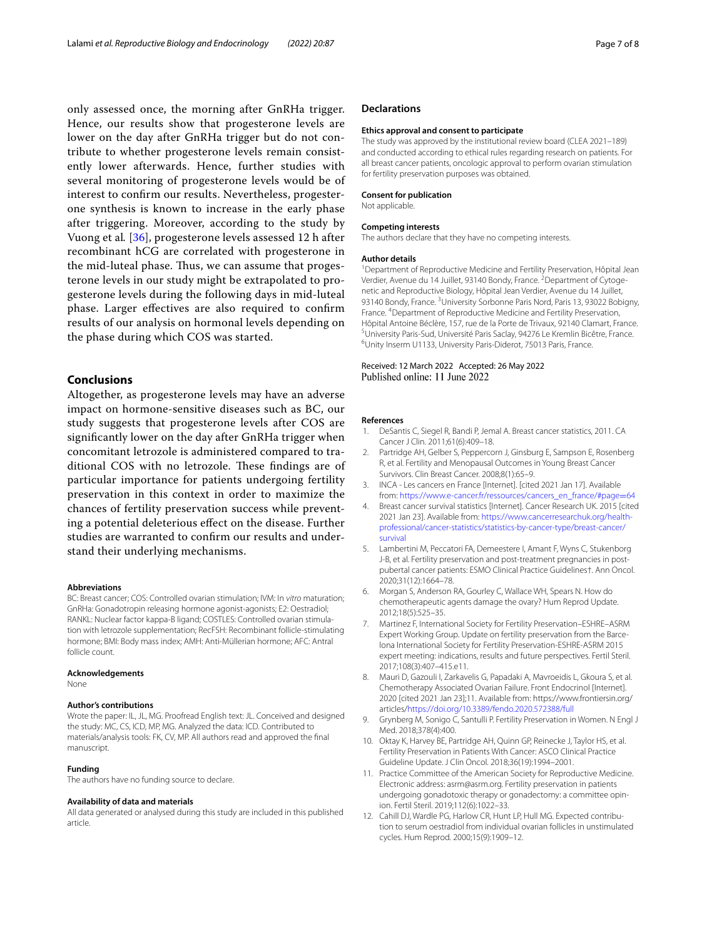only assessed once, the morning after GnRHa trigger. Hence, our results show that progesterone levels are lower on the day after GnRHa trigger but do not contribute to whether progesterone levels remain consistently lower afterwards. Hence, further studies with several monitoring of progesterone levels would be of interest to confrm our results. Nevertheless, progesterone synthesis is known to increase in the early phase after triggering. Moreover, according to the study by Vuong et al*.* [[36](#page-7-21)], progesterone levels assessed 12 h after recombinant hCG are correlated with progesterone in the mid-luteal phase. Thus, we can assume that progesterone levels in our study might be extrapolated to progesterone levels during the following days in mid-luteal phase. Larger efectives are also required to confrm results of our analysis on hormonal levels depending on the phase during which COS was started.

## **Conclusions**

Altogether, as progesterone levels may have an adverse impact on hormone-sensitive diseases such as BC, our study suggests that progesterone levels after COS are signifcantly lower on the day after GnRHa trigger when concomitant letrozole is administered compared to traditional COS with no letrozole. These findings are of particular importance for patients undergoing fertility preservation in this context in order to maximize the chances of fertility preservation success while preventing a potential deleterious efect on the disease. Further studies are warranted to confrm our results and understand their underlying mechanisms.

#### **Abbreviations**

BC: Breast cancer; COS: Controlled ovarian stimulation; IVM: In *vitro* maturation; GnRHa: Gonadotropin releasing hormone agonist-agonists; E2: Oestradiol; RANKL: Nuclear factor kappa-B ligand; COSTLES: Controlled ovarian stimulation with letrozole supplementation; RecFSH: Recombinant follicle-stimulating hormone; BMI: Body mass index; AMH: Anti-Müllerian hormone; AFC: Antral follicle count.

#### **Acknowledgements**

None

## **Author's contributions**

Wrote the paper: IL, JL, MG. Proofread English text: JL. Conceived and designed the study: MC, CS, ICD, MP, MG. Analyzed the data: ICD. Contributed to materials/analysis tools: FK, CV, MP. All authors read and approved the fnal manuscript.

## **Funding**

The authors have no funding source to declare.

## **Availability of data and materials**

All data generated or analysed during this study are included in this published article.

## **Declarations**

#### **Ethics approval and consent to participate**

The study was approved by the institutional review board (CLEA 2021–189) and conducted according to ethical rules regarding research on patients. For all breast cancer patients, oncologic approval to perform ovarian stimulation for fertility preservation purposes was obtained.

## **Consent for publication**

Not applicable.

#### **Competing interests**

The authors declare that they have no competing interests.

#### **Author details**

<sup>1</sup> Department of Reproductive Medicine and Fertility Preservation, Hôpital Jean Verdier, Avenue du 14 Juillet, 93140 Bondy, France. <sup>2</sup> Department of Cytogenetic and Reproductive Biology, Hôpital Jean Verdier, Avenue du 14 Juillet, 93140 Bondy, France.<sup>3</sup> University Sorbonne Paris Nord, Paris 13, 93022 Bobigny, France. 4 Department of Reproductive Medicine and Fertility Preservation, Hôpital Antoine Béclère, 157, rue de la Porte de Trivaux, 92140 Clamart, France. 5 <sup>5</sup>University Paris-Sud, Université Paris Saclay, 94276 Le Kremlin Bicêtre, France. Unity Inserm U1133, University Paris-Diderot, 75013 Paris, France.

## Received: 12 March 2022 Accepted: 26 May 2022 Published online: 11 June 2022

#### **References**

- <span id="page-6-0"></span>1. DeSantis C, Siegel R, Bandi P, Jemal A. Breast cancer statistics, 2011. CA Cancer J Clin. 2011;61(6):409–18.
- <span id="page-6-1"></span>2. Partridge AH, Gelber S, Peppercorn J, Ginsburg E, Sampson E, Rosenberg R, et al. Fertility and Menopausal Outcomes in Young Breast Cancer Survivors. Clin Breast Cancer. 2008;8(1):65–9.
- <span id="page-6-2"></span>3. INCA - Les cancers en France [Internet]. [cited 2021 Jan 17]. Available from: [https://www.e-cancer.fr/ressources/cancers\\_en\\_france/#page](https://www.e-cancer.fr/ressources/cancers_en_france/#page=64)=64
- <span id="page-6-3"></span>4. Breast cancer survival statistics [Internet]. Cancer Research UK. 2015 [cited 2021 Jan 23]. Available from: [https://www.cancerresearchuk.org/health](https://www.cancerresearchuk.org/health-professional/cancer-statistics/statistics-by-cancer-type/breast-cancer/survival) [professional/cancer-statistics/statistics-by-cancer-type/breast-cancer/](https://www.cancerresearchuk.org/health-professional/cancer-statistics/statistics-by-cancer-type/breast-cancer/survival) [survival](https://www.cancerresearchuk.org/health-professional/cancer-statistics/statistics-by-cancer-type/breast-cancer/survival)
- <span id="page-6-4"></span>5. Lambertini M, Peccatori FA, Demeestere I, Amant F, Wyns C, Stukenborg J-B, et al. Fertility preservation and post-treatment pregnancies in postpubertal cancer patients: ESMO Clinical Practice Guidelines†. Ann Oncol. 2020;31(12):1664–78.
- <span id="page-6-5"></span>6. Morgan S, Anderson RA, Gourley C, Wallace WH, Spears N. How do chemotherapeutic agents damage the ovary? Hum Reprod Update. 2012;18(5):525–35.
- 7. Martinez F, International Society for Fertility Preservation–ESHRE–ASRM Expert Working Group. Update on fertility preservation from the Barcelona International Society for Fertility Preservation-ESHRE-ASRM 2015 expert meeting: indications, results and future perspectives. Fertil Steril. 2017;108(3):407–415.e11.
- <span id="page-6-6"></span>8. Mauri D, Gazouli I, Zarkavelis G, Papadaki A, Mavroeidis L, Gkoura S, et al. Chemotherapy Associated Ovarian Failure. Front Endocrinol [Internet]. 2020 [cited 2021 Jan 23];11. Available from: https://www.frontiersin.org/ articles[/https://doi.org/10.3389/fendo.2020.572388/full](https://doi.org/10.3389/fendo.2020.572388/full)
- <span id="page-6-7"></span>9. Grynberg M, Sonigo C, Santulli P. Fertility Preservation in Women. N Engl J Med. 2018;378(4):400.
- <span id="page-6-8"></span>10. Oktay K, Harvey BE, Partridge AH, Quinn GP, Reinecke J, Taylor HS, et al. Fertility Preservation in Patients With Cancer: ASCO Clinical Practice Guideline Update. J Clin Oncol. 2018;36(19):1994–2001.
- <span id="page-6-9"></span>11. Practice Committee of the American Society for Reproductive Medicine. Electronic address: asrm@asrm.org. Fertility preservation in patients undergoing gonadotoxic therapy or gonadectomy: a committee opinion. Fertil Steril. 2019;112(6):1022–33.
- <span id="page-6-10"></span>12. Cahill DJ, Wardle PG, Harlow CR, Hunt LP, Hull MG. Expected contribution to serum oestradiol from individual ovarian follicles in unstimulated cycles. Hum Reprod. 2000;15(9):1909–12.